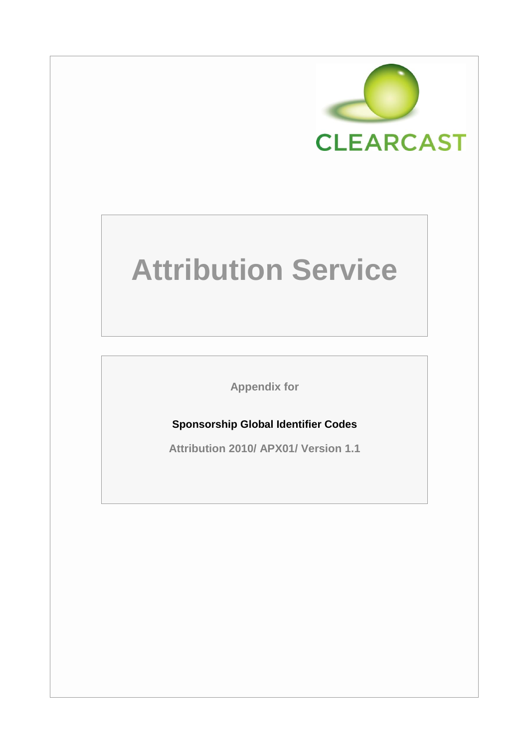

# **Attribution Service**

**Appendix for**

## **Sponsorship Global Identifier Codes**

**Attribution 2010/ APX01/ Version 1.1**